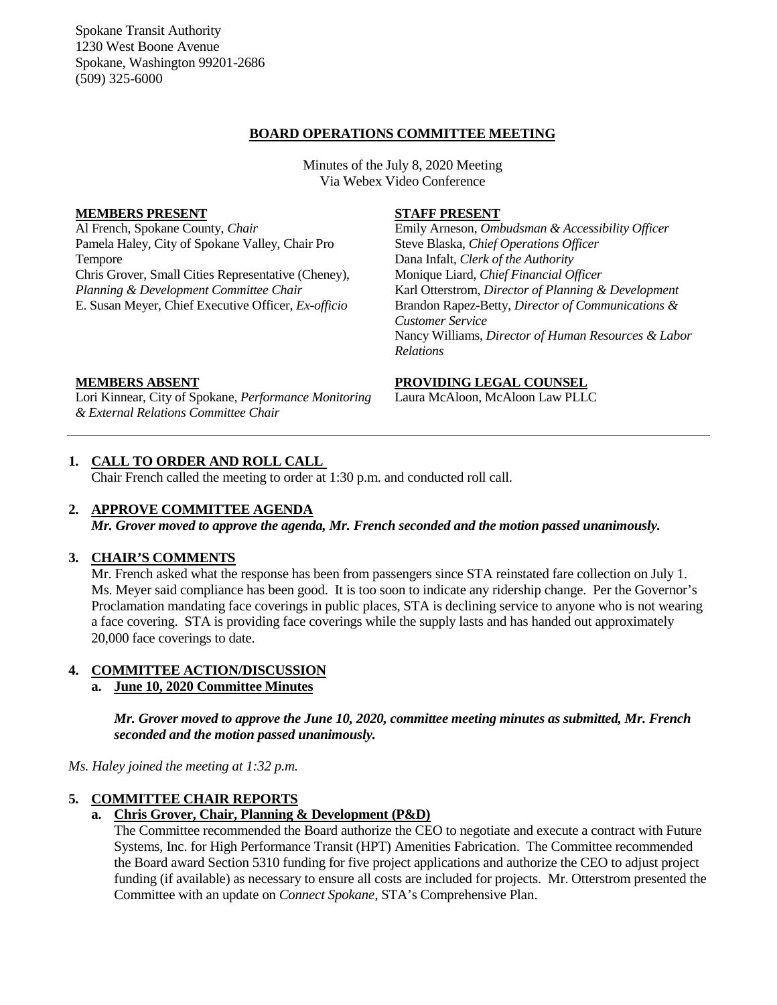Spokane Transit Authority 1230 West Boone Avenue Spokane, Washington 99201-2686 (509) 325-6000

### **BOARD OPERATIONS COMMITTEE MEETING**

Minutes of the July 8, 2020 Meeting Via Webex Video Conference

#### **MEMBERS PRESENT**

Al French, Spokane County, *Chair* Pamela Haley, City of Spokane Valley, Chair Pro Tempore Chris Grover, Small Cities Representative (Cheney), *Planning & Development Committee Chair* E. Susan Meyer, Chief Executive Officer, *Ex-officio*

#### **STAFF PRESENT**

Emily Arneson, *Ombudsman & Accessibility Officer* Steve Blaska, *Chief Operations Officer* Dana Infalt, *Clerk of the Authority* Monique Liard, *Chief Financial Officer* Karl Otterstrom, *Director of Planning & Development* Brandon Rapez-Betty, *Director of Communications & Customer Service* Nancy Williams, *Director of Human Resources & Labor Relations*

### **MEMBERS ABSENT**

Lori Kinnear, City of Spokane, *Performance Monitoring & External Relations Committee Chair*

#### **PROVIDING LEGAL COUNSEL**

Laura McAloon, McAloon Law PLLC

### **1. CALL TO ORDER AND ROLL CALL**

Chair French called the meeting to order at 1:30 p.m. and conducted roll call.

#### **2. APPROVE COMMITTEE AGENDA**

*Mr. Grover moved to approve the agenda, Mr. French seconded and the motion passed unanimously.*

#### **3. CHAIR'S COMMENTS**

Mr. French asked what the response has been from passengers since STA reinstated fare collection on July 1. Ms. Meyer said compliance has been good. It is too soon to indicate any ridership change. Per the Governor's Proclamation mandating face coverings in public places, STA is declining service to anyone who is not wearing a face covering. STA is providing face coverings while the supply lasts and has handed out approximately 20,000 face coverings to date.

### **4. COMMITTEE ACTION/DISCUSSION**

# **a. June 10, 2020 Committee Minutes**

*Mr. Grover moved to approve the June 10, 2020, committee meeting minutes as submitted, Mr. French seconded and the motion passed unanimously.*

*Ms. Haley joined the meeting at 1:32 p.m.*

#### **5. COMMITTEE CHAIR REPORTS**

### **a. Chris Grover, Chair, Planning & Development (P&D)**

The Committee recommended the Board authorize the CEO to negotiate and execute a contract with Future Systems, Inc. for High Performance Transit (HPT) Amenities Fabrication. The Committee recommended the Board award Section 5310 funding for five project applications and authorize the CEO to adjust project funding (if available) as necessary to ensure all costs are included for projects. Mr. Otterstrom presented the Committee with an update on *Connect Spokane,* STA's Comprehensive Plan.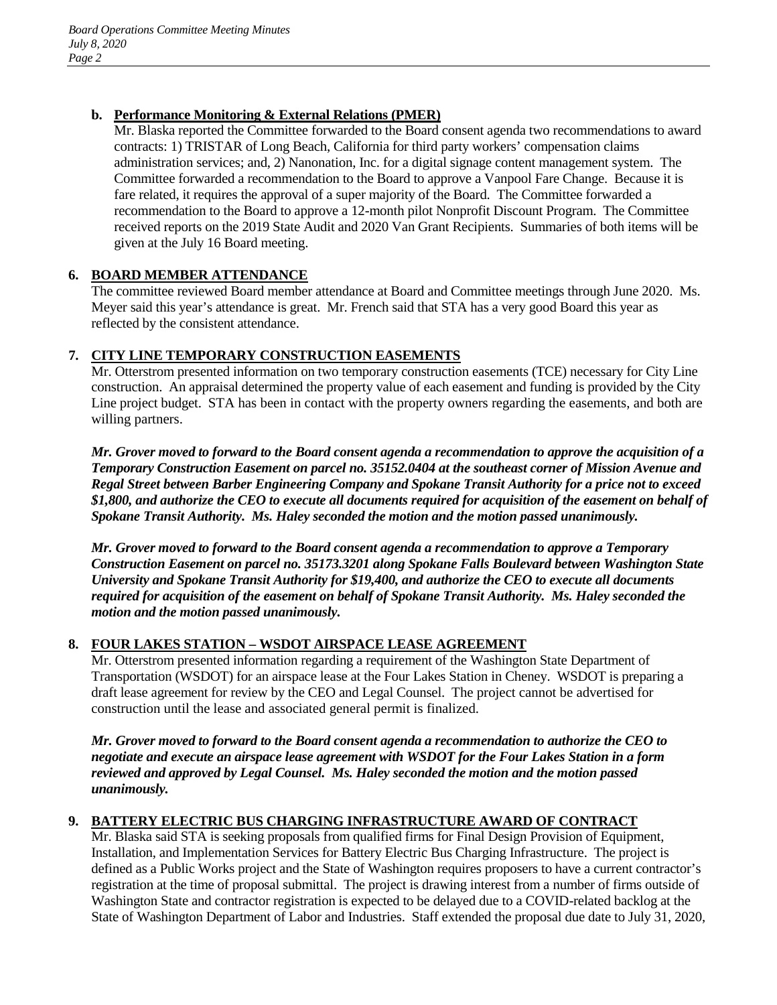# **b. Performance Monitoring & External Relations (PMER)**

Mr. Blaska reported the Committee forwarded to the Board consent agenda two recommendations to award contracts: 1) TRISTAR of Long Beach, California for third party workers' compensation claims administration services; and, 2) Nanonation, Inc. for a digital signage content management system. The Committee forwarded a recommendation to the Board to approve a Vanpool Fare Change. Because it is fare related, it requires the approval of a super majority of the Board. The Committee forwarded a recommendation to the Board to approve a 12-month pilot Nonprofit Discount Program. The Committee received reports on the 2019 State Audit and 2020 Van Grant Recipients. Summaries of both items will be given at the July 16 Board meeting.

# **6. BOARD MEMBER ATTENDANCE**

The committee reviewed Board member attendance at Board and Committee meetings through June 2020. Ms. Meyer said this year's attendance is great. Mr. French said that STA has a very good Board this year as reflected by the consistent attendance.

# **7. CITY LINE TEMPORARY CONSTRUCTION EASEMENTS**

Mr. Otterstrom presented information on two temporary construction easements (TCE) necessary for City Line construction. An appraisal determined the property value of each easement and funding is provided by the City Line project budget. STA has been in contact with the property owners regarding the easements, and both are willing partners.

*Mr. Grover moved to forward to the Board consent agenda a recommendation to approve the acquisition of a Temporary Construction Easement on parcel no. 35152.0404 at the southeast corner of Mission Avenue and Regal Street between Barber Engineering Company and Spokane Transit Authority for a price not to exceed \$1,800, and authorize the CEO to execute all documents required for acquisition of the easement on behalf of Spokane Transit Authority. Ms. Haley seconded the motion and the motion passed unanimously.*

*Mr. Grover moved to forward to the Board consent agenda a recommendation to approve a Temporary Construction Easement on parcel no. 35173.3201 along Spokane Falls Boulevard between Washington State University and Spokane Transit Authority for \$19,400, and authorize the CEO to execute all documents required for acquisition of the easement on behalf of Spokane Transit Authority. Ms. Haley seconded the motion and the motion passed unanimously.*

# **8. FOUR LAKES STATION – WSDOT AIRSPACE LEASE AGREEMENT**

Mr. Otterstrom presented information regarding a requirement of the Washington State Department of Transportation (WSDOT) for an airspace lease at the Four Lakes Station in Cheney. WSDOT is preparing a draft lease agreement for review by the CEO and Legal Counsel. The project cannot be advertised for construction until the lease and associated general permit is finalized.

*Mr. Grover moved to forward to the Board consent agenda a recommendation to authorize the CEO to negotiate and execute an airspace lease agreement with WSDOT for the Four Lakes Station in a form reviewed and approved by Legal Counsel. Ms. Haley seconded the motion and the motion passed unanimously.*

# **9. BATTERY ELECTRIC BUS CHARGING INFRASTRUCTURE AWARD OF CONTRACT**

Mr. Blaska said STA is seeking proposals from qualified firms for Final Design Provision of Equipment, Installation, and Implementation Services for Battery Electric Bus Charging Infrastructure. The project is defined as a Public Works project and the State of Washington requires proposers to have a current contractor's registration at the time of proposal submittal. The project is drawing interest from a number of firms outside of Washington State and contractor registration is expected to be delayed due to a COVID-related backlog at the State of Washington Department of Labor and Industries. Staff extended the proposal due date to July 31, 2020,